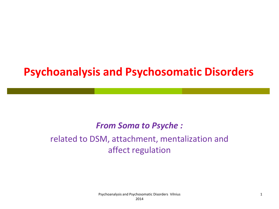# **Psychoanalysis and Psychosomatic Disorders**

#### *From Soma to Psyche :*

#### related to DSM, attachment, mentalization and affect regulation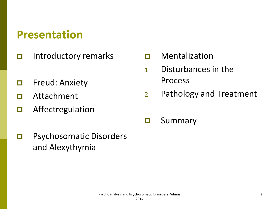## **Presentation**

- $\Box$  Introductory remarks
- **D** Freud: Anxiety
- Attachment
- **D** Affectregulation
- **D** Psychosomatic Disorders and Alexythymia
- D Mentalization
- 1. Disturbances in the Process
- 2. Pathology and Treatment
- **O** Summary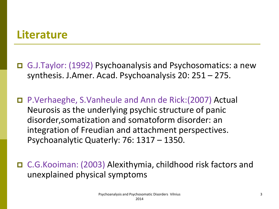### **Literature**

 G.J.Taylor: (1992) Psychoanalysis and Psychosomatics: a new synthesis. J.Amer. Acad. Psychoanalysis 20: 251 – 275.

 P.Verhaeghe, S.Vanheule and Ann de Rick:(2007) Actual Neurosis as the underlying psychic structure of panic disorder,somatization and somatoform disorder: an integration of Freudian and attachment perspectives. Psychoanalytic Quaterly: 76: 1317 – 1350.

 C.G.Kooiman: (2003) Alexithymia, childhood risk factors and unexplained physical symptoms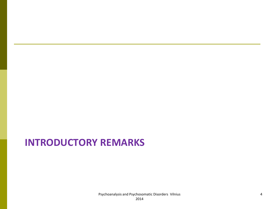### **INTRODUCTORY REMARKS**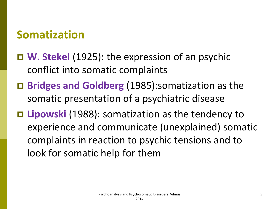## **Somatization**

- **W. Stekel** (1925): the expression of an psychic conflict into somatic complaints
- **Bridges and Goldberg** (1985):somatization as the somatic presentation of a psychiatric disease
- **Lipowski** (1988): somatization as the tendency to experience and communicate (unexplained) somatic complaints in reaction to psychic tensions and to look for somatic help for them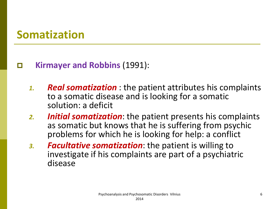## **Somatization**

#### **Kirmayer and Robbins** (1991):

- *1. Real somatization* : the patient attributes his complaints to a somatic disease and is looking for a somatic solution: a deficit
- *2. Initial somatization*: the patient presents his complaints as somatic but knows that he is suffering from psychic problems for which he is looking for help: a conflict
- *3. Facultative somatization*: the patient is willing to investigate if his complaints are part of a psychiatric disease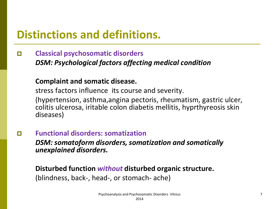# **Distinctions and definitions.**

 **Classical psychosomatic disorders**  *DSM: Psychological factors affecting medical condition*

#### **Complaint and somatic disease.**

stress factors influence its course and severity.

(hypertension, asthma,angina pectoris, rheumatism, gastric ulcer, colitis ulcerosa, iritable colon diabetis mellitis, hyprthyreosis skin diseases)

**Functional disorders: somatization** 

*DSM: somatoform disorders, somatization and somatically unexplained disorders.*

**Disturbed function** *without* **disturbed organic structure.** (blindness, back-, head-, or stomach- ache)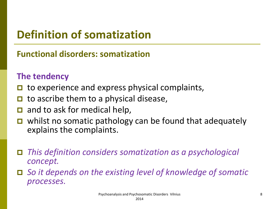# **Definition of somatization**

### **Functional disorders: somatization**

#### **The tendency**

- to experience and express physical complaints,
- to ascribe them to a physical disease,
- and to ask for medical help,
- whilst no somatic pathology can be found that adequately explains the complaints.
- *This definition considers somatization as a psychological concept.*
- *So it depends on the existing level of knowledge of somatic processes.*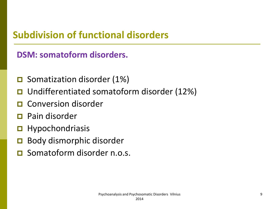### **Subdivision of functional disorders**

### **DSM: somatoform disorders.**

- **□** Somatization disorder (1%)
- Undifferentiated somatoform disorder (12%)
- Conversion disorder
- Pain disorder
- $\blacksquare$  Hypochondriasis
- Body dismorphic disorder
- **O** Somatoform disorder n.o.s.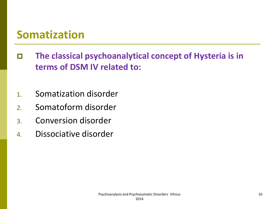## **Somatization**

- **The classical psychoanalytical concept of Hysteria is in terms of DSM IV related to:**
- 1. Somatization disorder
- 2. Somatoform disorder
- 3. Conversion disorder
- 4. Dissociative disorder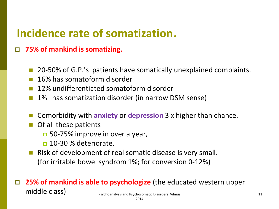# **Incidence rate of somatization**.

#### **75% of mankind is somatizing.**

- 20-50% of G.P.'s patients have somatically unexplained complaints.
- 16% has somatoform disorder
- 12% undifferentiated somatoform disorder
- 1% has somatization disorder (in narrow DSM sense)
- Comorbidity with **anxiety** or **depression** 3 x higher than chance.
- Of all these patients
	- 50-75% improve in over a year,
	- $\Box$  10-30 % deteriorate.
- **Risk of development of real somatic disease is very small.** (for irritable bowel syndrom 1%; for conversion 0-12%)

#### **25% of mankind is able to psychologize** (the educated western upper middle class) expressionallysis and Psychosomatic Disorders Vilnius and Psychosomatic Disorders Vilnius 11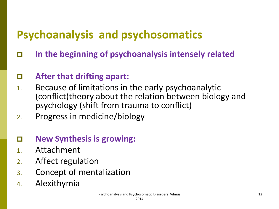# **Psychoanalysis and psychosomatics**

**In the beginning of psychoanalysis intensely related**

### **After that drifting apart:**

- 1. Because of limitations in the early psychoanalytic (conflict)theory about the relation between biology and psychology (shift from trauma to conflict)
- 2. Progress in medicine/biology

#### **New Synthesis is growing:**

- 1. Attachment
- 2. Affect regulation
- 3. Concept of mentalization
- 4. Alexithymia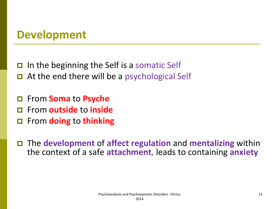## **Development**

In the beginning the Self is a somatic Self

- $\Box$  At the end there will be a psychological Self
- From **Soma** to **Psyche**
- From **outside** to **inside**
- From **doing** to **thinking**

 The **development** of **affect regulation** and **mentalizing** within the context of a safe **attachment**, leads to containing **anxiety**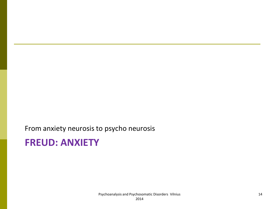From anxiety neurosis to psycho neurosis

### **FREUD: ANXIETY**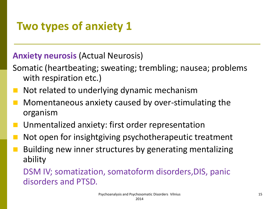# **Two types of anxiety 1**

#### **Anxiety neurosis** (Actual Neurosis)

- Somatic (heartbeating; sweating; trembling; nausea; problems with respiration etc.)
- Not related to underlying dynamic mechanism
- Momentaneous anxiety caused by over-stimulating the organism
- Unmentalized anxiety: first order representation
- Not open for insightgiving psychotherapeutic treatment
- Building new inner structures by generating mentalizing ability

DSM IV; somatization, somatoform disorders,DIS, panic disorders and PTSD.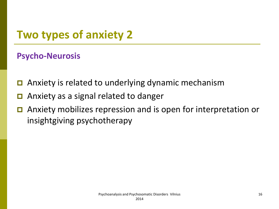# **Two types of anxiety 2**

#### **Psycho-Neurosis**

- **□** Anxiety is related to underlying dynamic mechanism
- **□** Anxiety as a signal related to danger
- Anxiety mobilizes repression and is open for interpretation or insightgiving psychotherapy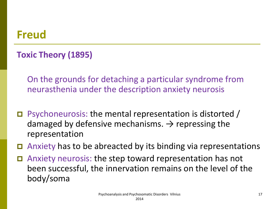### **Freud**

### **Toxic Theory (1895)**

On the grounds for detaching a particular syndrome from neurasthenia under the description anxiety neurosis

- Psychoneurosis: the mental representation is distorted / damaged by defensive mechanisms.  $\rightarrow$  repressing the representation
- Anxiety has to be abreacted by its binding via representations
- Anxiety neurosis: the step toward representation has not been successful, the innervation remains on the level of the body/soma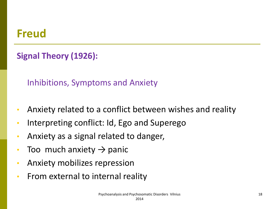## **Freud**

### **Signal Theory (1926):**

Inhibitions, Symptoms and Anxiety

- Anxiety related to a conflict between wishes and reality
- Interpreting conflict: Id, Ego and Superego
- Anxiety as a signal related to danger,
- Too much anxiety  $\rightarrow$  panic
- Anxiety mobilizes repression
- From external to internal reality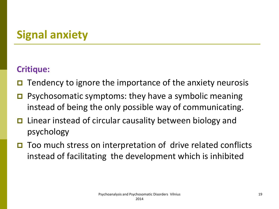# **Signal anxiety**

### **Critique:**

- Tendency to ignore the importance of the anxiety neurosis
- Psychosomatic symptoms: they have a symbolic meaning instead of being the only possible way of communicating.
- **□** Linear instead of circular causality between biology and psychology
- Too much stress on interpretation of drive related conflicts instead of facilitating the development which is inhibited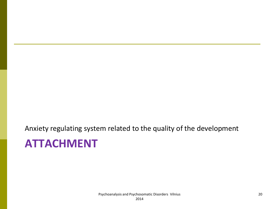Anxiety regulating system related to the quality of the development

# **ATTACHMENT**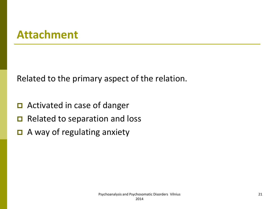## **Attachment**

Related to the primary aspect of the relation.

- **□** Activated in case of danger
- $\Box$  Related to separation and loss
- **□** A way of regulating anxiety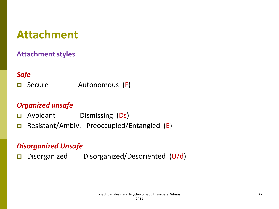## **Attachment**

#### **Attachment styles**

#### *Safe*

□ Secure Autonomous (F)

#### *Organized unsafe*

- **D** Avoidant Dismissing (Ds)
- □ Resistant/Ambiv. Preoccupied/Entangled (E)

#### *Disorganized Unsafe*

Disorganized Disorganized/Desoriënted (U/d)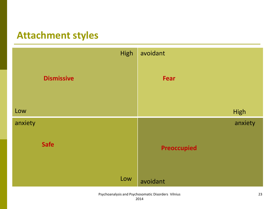### **Attachment styles**

|         |                   | High | avoidant           |         |
|---------|-------------------|------|--------------------|---------|
|         | <b>Dismissive</b> |      | Fear               |         |
| Low     |                   |      |                    | High    |
| anxiety |                   |      |                    | anxiety |
|         | <b>Safe</b>       |      | <b>Preoccupied</b> |         |
|         |                   | Low  | avoidant           |         |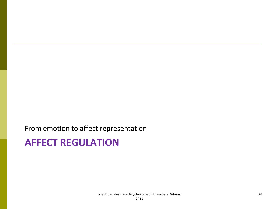From emotion to affect representation

### **AFFECT REGULATION**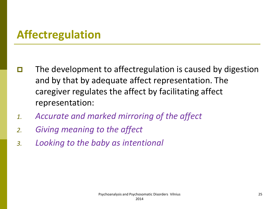# **Affectregulation**

- $\Box$  The development to affectregulation is caused by digestion and by that by adequate affect representation. The caregiver regulates the affect by facilitating affect representation:
- *1. Accurate and marked mirroring of the affect*
- *2. Giving meaning to the affect*
- *3. Looking to the baby as intentional*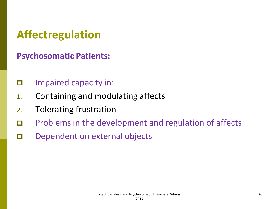# **Affectregulation**

**Psychosomatic Patients:**

- $\Box$  Impaired capacity in:
- 1. Containing and modulating affects
- 2. Tolerating frustration
- **D** Problems in the development and regulation of affects
- Dependent on external objects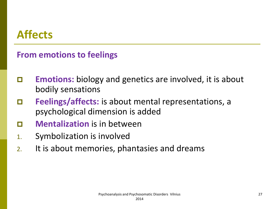# **Affects**

#### **From emotions to feelings**

- **Emotions:** biology and genetics are involved, it is about bodily sensations
- **Feelings/affects:** is about mental representations, a psychological dimension is added
- **D Mentalization** is in between
- 1. Symbolization is involved
- 2. It is about memories, phantasies and dreams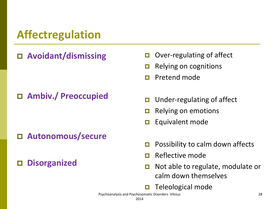# **Affectregulation**

### **Avoidant/dismissing**

#### **Ambiv./ Preoccupied**

#### **Autonomous/secure**

**Disorganized**

- $\Box$  Over-regulating of affect
- $\Box$  Relying on cognitions
- **Pretend mode**
- $\Box$  Under-regulating of affect
- $\Box$  Relying on emotions
- $\Box$  Equivalent mode
- $\Box$  Possibility to calm down affects
- Reflective mode
- □ Not able to regulate, modulate or calm down themselves
- $\Box$  Teleological mode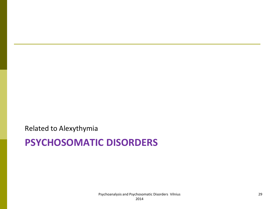Related to Alexythymia

### **PSYCHOSOMATIC DISORDERS**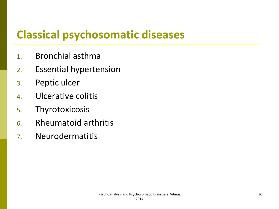# **Classical psychosomatic diseases**

- 1. Bronchial asthma
- 2. Essential hypertension
- 3. Peptic ulcer
- 4. Ulcerative colitis
- 5. Thyrotoxicosis
- 6. Rheumatoid arthritis
- 7. Neurodermatitis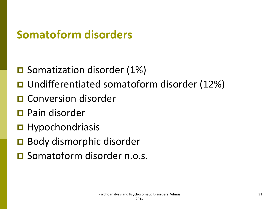## **Somatoform disorders**

- **□** Somatization disorder (1%)
- Undifferentiated somatoform disorder (12%)
- **O** Conversion disorder
- **D** Pain disorder
- $\blacksquare$  Hypochondriasis
- **□** Body dismorphic disorder
- **O** Somatoform disorder n.o.s.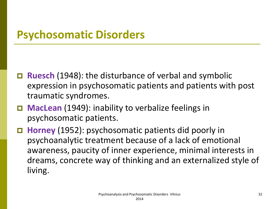## **Psychosomatic Disorders**

- **Ruesch** (1948): the disturbance of verbal and symbolic expression in psychosomatic patients and patients with post traumatic syndromes.
- **MacLean** (1949): inability to verbalize feelings in psychosomatic patients.
- **Horney** (1952): psychosomatic patients did poorly in psychoanalytic treatment because of a lack of emotional awareness, paucity of inner experience, minimal interests in dreams, concrete way of thinking and an externalized style of living.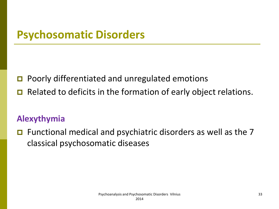## **Psychosomatic Disorders**

**□** Poorly differentiated and unregulated emotions

Related to deficits in the formation of early object relations.

#### **Alexythymia**

 $\Box$  Functional medical and psychiatric disorders as well as the 7 classical psychosomatic diseases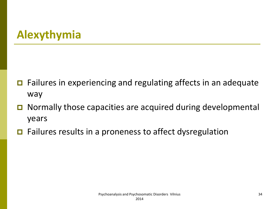# **Alexythymia**

- **□** Failures in experiencing and regulating affects in an adequate way
- **□** Normally those capacities are acquired during developmental years
- $\Box$  Failures results in a proneness to affect dysregulation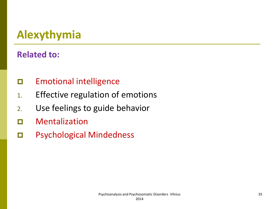# **Alexythymia**

#### **Related to:**

- Emotional intelligence
- 1. Effective regulation of emotions
- 2. Use feelings to guide behavior
- Mentalization
- Psychological Mindedness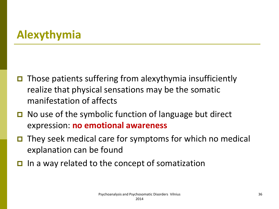# **Alexythymia**

- $\Box$  Those patients suffering from alexythymia insufficiently realize that physical sensations may be the somatic manifestation of affects
- $\Box$  No use of the symbolic function of language but direct expression: **no emotional awareness**
- $\Box$  They seek medical care for symptoms for which no medical explanation can be found
- In a way related to the concept of somatization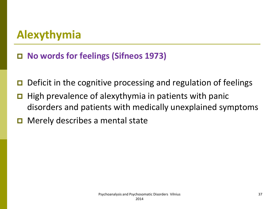**No words for feelings (Sifneos 1973)**

- $\Box$  Deficit in the cognitive processing and regulation of feelings
- $\Box$  High prevalence of alexythymia in patients with panic disorders and patients with medically unexplained symptoms
- $\Box$  Merely describes a mental state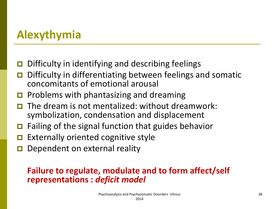- Difficulty in identifying and describing feelings
- Difficulty in differentiating between feelings and somatic concomitants of emotional arousal
- $\Box$  Problems with phantasizing and dreaming
- The dream is not mentalized: without dreamwork: symbolization, condensation and displacement
- $\Box$  Failing of the signal function that guides behavior
- Externally oriented cognitive style
- Dependent on external reality

#### **Failure to regulate, modulate and to form affect/self representations :** *deficit model*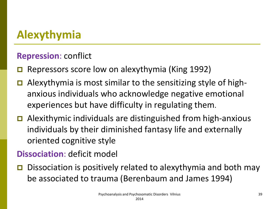### **Repression**: conflict

- Repressors score low on alexythymia (King 1992)
- Alexythymia is most similar to the sensitizing style of highanxious individuals who acknowledge negative emotional experiences but have difficulty in regulating them.
- Alexithymic individuals are distinguished from high-anxious individuals by their diminished fantasy life and externally oriented cognitive style

### **Dissociation**: deficit model

 Dissociation is positively related to alexythymia and both may be associated to trauma (Berenbaum and James 1994)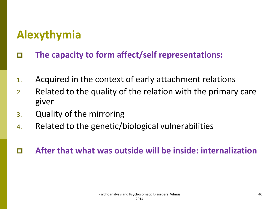- **The capacity to form affect/self representations:**
- 1. Acquired in the context of early attachment relations
- 2. Related to the quality of the relation with the primary care giver
- 3. Quality of the mirroring
- 4. Related to the genetic/biological vulnerabilities
- **After that what was outside will be inside: internalization**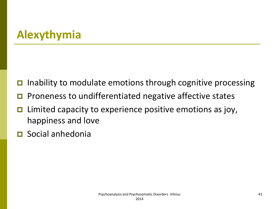- $\Box$  Inability to modulate emotions through cognitive processing
- Proneness to undifferentiated negative affective states
- $\Box$  Limited capacity to experience positive emotions as joy, happiness and love
- Social anhedonia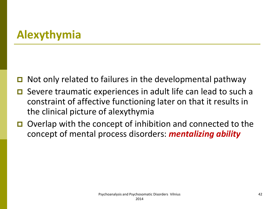- Not only related to failures in the developmental pathway
- Severe traumatic experiences in adult life can lead to such a constraint of affective functioning later on that it results in the clinical picture of alexythymia
- Overlap with the concept of inhibition and connected to the concept of mental process disorders: *mentalizing ability*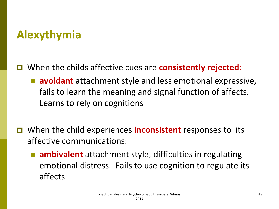### When the childs affective cues are **consistently rejected:**

- **avoidant** attachment style and less emotional expressive, fails to learn the meaning and signal function of affects. Learns to rely on cognitions
- When the child experiences **inconsistent** responses to its affective communications:
	- **ambivalent** attachment style, difficulties in regulating emotional distress. Fails to use cognition to regulate its affects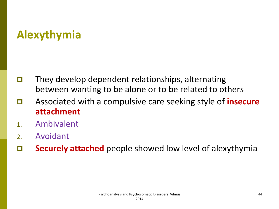- $\Box$  They develop dependent relationships, alternating between wanting to be alone or to be related to others
- Associated with a compulsive care seeking style of **insecure attachment**
- 1. Ambivalent
- 2. Avoidant
- **Securely attached** people showed low level of alexythymia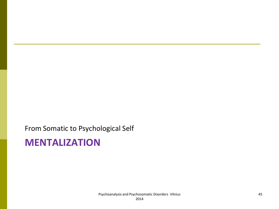From Somatic to Psychological Self

## **MENTALIZATION**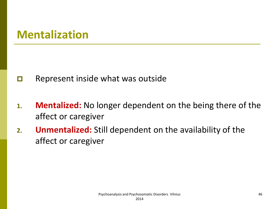- $\Box$  Represent inside what was outside
- **1. Mentalized:** No longer dependent on the being there of the affect or caregiver
- **2. Unmentalized:** Still dependent on the availability of the affect or caregiver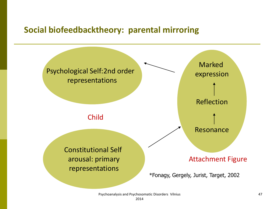#### **Social biofeedbacktheory: parental mirroring**

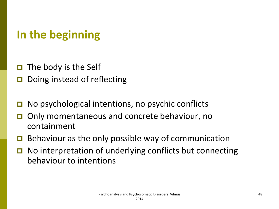# **In the beginning**

- $\Box$  The body is the Self
- Doing instead of reflecting
- No psychological intentions, no psychic conflicts
- Only momentaneous and concrete behaviour, no containment
- $\Box$  Behaviour as the only possible way of communication
- No interpretation of underlying conflicts but connecting behaviour to intentions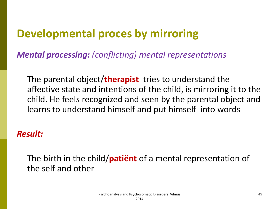# **Developmental proces by mirroring**

*Mental processing: (conflicting) mental representations*

The parental object/**therapist** tries to understand the affective state and intentions of the child, is mirroring it to the child. He feels recognized and seen by the parental object and learns to understand himself and put himself into words

#### *Result:*

The birth in the child/**patiënt** of a mental representation of the self and other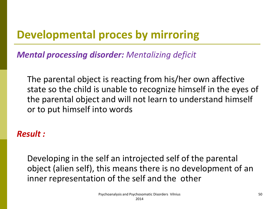# **Developmental proces by mirroring**

*Mental processing disorder: Mentalizing deficit*

The parental object is reacting from his/her own affective state so the child is unable to recognize himself in the eyes of the parental object and will not learn to understand himself or to put himself into words

#### *Result :*

Developing in the self an introjected self of the parental object (alien self), this means there is no development of an inner representation of the self and the other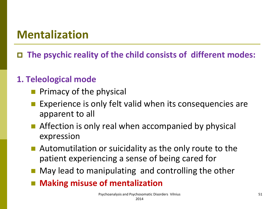**The psychic reality of the child consists of different modes:**

### **1. Teleological mode**

- Primacy of the physical
- Experience is only felt valid when its consequencies are apparent to all
- **Affection is only real when accompanied by physical** expression
- Automutilation or suicidality as the only route to the patient experiencing a sense of being cared for
- **May lead to manipulating and controlling the other**
- Making misuse of mentalization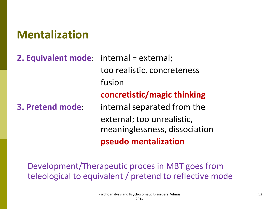# **2. Equivalent mode**: internal = external; too realistic, concreteness fusion **concretistic/magic thinking 3. Pretend mode**: internal separated from the external; too unrealistic, meaninglessness, dissociation **pseudo mentalization**

Development/Therapeutic proces in MBT goes from teleological to equivalent / pretend to reflective mode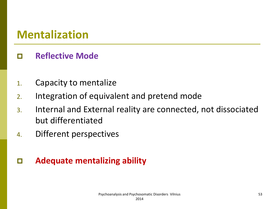### **Reflective Mode**

- 1. Capacity to mentalize
- 2. Integration of equivalent and pretend mode
- 3. Internal and External reality are connected, not dissociated but differentiated
- 4. Different perspectives

### **Adequate mentalizing ability**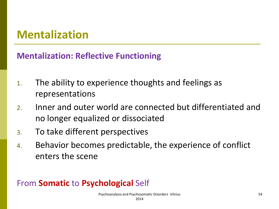### **Mentalization: Reflective Functioning**

- 1. The ability to experience thoughts and feelings as representations
- 2. Inner and outer world are connected but differentiated and no longer equalized or dissociated
- 3. To take different perspectives
- 4. Behavior becomes predictable, the experience of conflict enters the scene

#### From **Somatic** to **Psychological** Self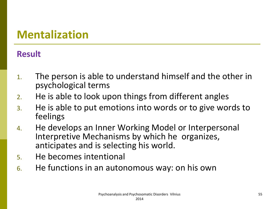### **Result**

- 1. The person is able to understand himself and the other in psychological terms
- 2. He is able to look upon things from different angles
- 3. He is able to put emotions into words or to give words to feelings
- 4. He develops an Inner Working Model or Interpersonal Interpretive Mechanisms by which he organizes, anticipates and is selecting his world.
- 5. He becomes intentional
- 6. He functions in an autonomous way: on his own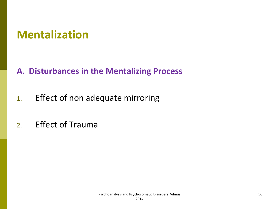### **A. Disturbances in the Mentalizing Process**

- 1. Effect of non adequate mirroring
- 2. Effect of Trauma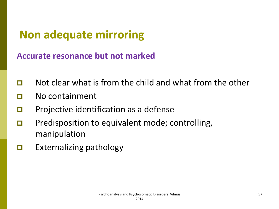# **Non adequate mirroring**

**Accurate resonance but not marked**

- $\Box$  Not clear what is from the child and what from the other
- No containment
- $\Box$  Projective identification as a defense
- **D** Predisposition to equivalent mode; controlling, manipulation
- $\Box$  Externalizing pathology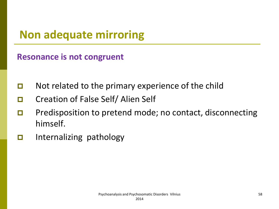# **Non adequate mirroring**

**Resonance is not congruent**

- $\Box$  Not related to the primary experience of the child
- □ Creation of False Self/ Alien Self
- **D** Predisposition to pretend mode; no contact, disconnecting himself.
- $\Box$  Internalizing pathology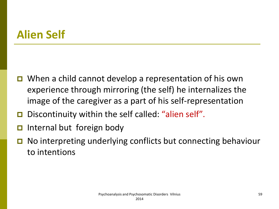# **Alien Self**

- When a child cannot develop a representation of his own experience through mirroring (the self) he internalizes the image of the caregiver as a part of his self-representation
- Discontinuity within the self called: "alien self".
- Internal but foreign body
- No interpreting underlying conflicts but connecting behaviour to intentions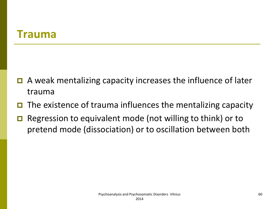## **Trauma**

- $\Box$  A weak mentalizing capacity increases the influence of later trauma
- $\Box$  The existence of trauma influences the mentalizing capacity
- $\Box$  Regression to equivalent mode (not willing to think) or to pretend mode (dissociation) or to oscillation between both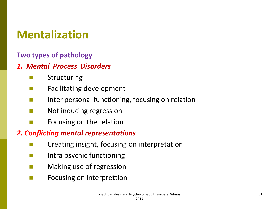#### **Two types of pathology**

#### *1. Mental Process Disorders*

- **E** Structuring
- **Facilitating development**
- **Inter personal functioning, focusing on relation**
- **Not inducing regression**
- $\blacksquare$  Focusing on the relation

#### *2. Conflicting mental representations*

- Creating insight, focusing on interpretation
- **Intra psychic functioning**
- **Naking use of regression**
- $\blacksquare$  Focusing on interprettion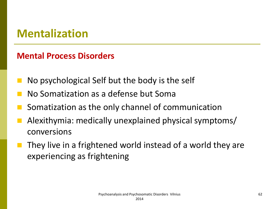### **Mental Process Disorders**

- No psychological Self but the body is the self
- No Somatization as a defense but Soma
- Somatization as the only channel of communication
- Alexithymia: medically unexplained physical symptoms/ conversions
- They live in a frightened world instead of a world they are experiencing as frightening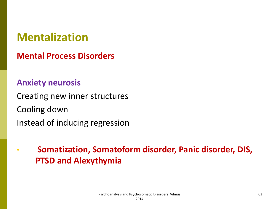**Mental Process Disorders**

#### **Anxiety neurosis**

Creating new inner structures Cooling down Instead of inducing regression

• **Somatization, Somatoform disorder, Panic disorder, DIS, PTSD and Alexythymia**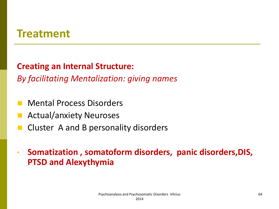## **Treatment**

#### **Creating an Internal Structure:**

*By facilitating Mentalization: giving names*

- Mental Process Disorders
- Actual/anxiety Neuroses
- Cluster A and B personality disorders
- **Somatization , somatoform disorders, panic disorders,DIS, PTSD and Alexythymia**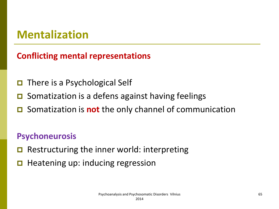### **Conflicting mental representations**

- There is a Psychological Self
- Somatization is a defens against having feelings
- Somatization is **not** the only channel of communication

### **Psychoneurosis**

- Restructuring the inner world: interpreting
- $\Box$  Heatening up: inducing regression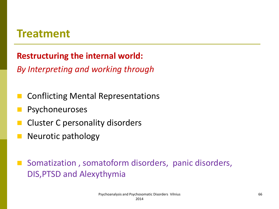## **Treatment**

### **Restructuring the internal world:**

*By Interpreting and working through*

- Conflicting Mental Representations
- Psychoneuroses
- Cluster C personality disorders
- Neurotic pathology
- Somatization, somatoform disorders, panic disorders, DIS,PTSD and Alexythymia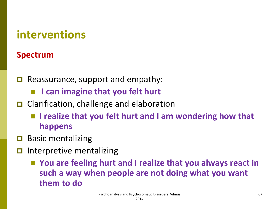## **interventions**

#### **Spectrum**

- $\Box$  Reassurance, support and empathy:
	- **I can imagine that you felt hurt**
- **□** Clarification, challenge and elaboration
	- I realize that you felt hurt and I am wondering how that **happens**
- Basic mentalizing
- Interpretive mentalizing
	- You are feeling hurt and I realize that you always react in **such a way when people are not doing what you want them to do**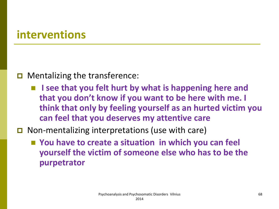## **interventions**

#### $\Box$  Mentalizing the transference:

**I** is see that you felt hurt by what is happening here and **that you don't know if you want to be here with me. I think that only by feeling yourself as an hurted victim you can feel that you deserves my attentive care**

### $\Box$  Non-mentalizing interpretations (use with care)

■ You have to create a situation in which you can feel **yourself the victim of someone else who has to be the purpetrator**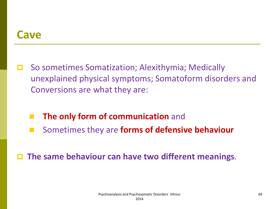## **Cave**

- So sometimes Somatization; Alexithymia; Medically unexplained physical symptoms; Somatoform disorders and Conversions are what they are:
	- **The only form of communication** and
	- Sometimes they are **forms of defensive behaviour**

**The same behaviour can have two different meanings.**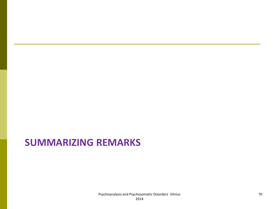## **SUMMARIZING REMARKS**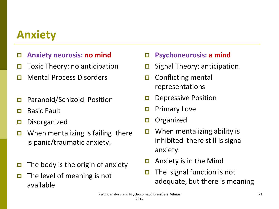## **Anxiety**

- **Anxiety neurosis: no mind**
- $\Box$  Toxic Theory: no anticipation
- **D** Mental Process Disorders
- **D** Paranoid/Schizoid Position
- **D** Basic Fault
- Disorganized
- $\Box$  When mentalizing is failing there is panic/traumatic anxiety.
- $\Box$  The body is the origin of anxiety
- $\Box$  The level of meaning is not available
- **Psychoneurosis: a mind**
- $\Box$  Signal Theory: anticipation
- $\Box$  Conflicting mental representations
- $\Box$  Depressive Position
- **D** Primary Love
- **□** Organized
- **D** When mentalizing ability is inhibited there still is signal anxiety
- $\Box$  Anxiety is in the Mind
- $\Box$  The signal function is not adequate, but there is meaning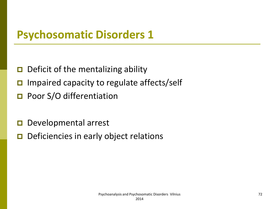## **Psychosomatic Disorders 1**

- $\Box$  Deficit of the mentalizing ability
- Impaired capacity to regulate affects/self
- **D** Poor S/O differentiation
- Developmental arrest
- $\Box$  Deficiencies in early object relations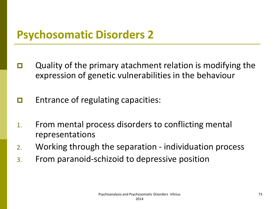- $\Box$  Quality of the primary atachment relation is modifying the expression of genetic vulnerabilities in the behaviour
- $\Box$  Entrance of regulating capacities:
- 1. From mental process disorders to conflicting mental representations
- 2. Working through the separation individuation process
- 3. From paranoid-schizoid to depressive position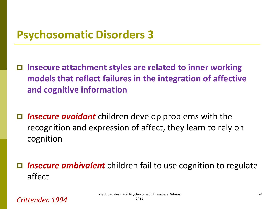**Insecure attachment styles are related to inner working models that reflect failures in the integration of affective and cognitive information**

- *Insecure avoidant* children develop problems with the recognition and expression of affect, they learn to rely on cognition
- *Insecure ambivalent* children fail to use cognition to regulate affect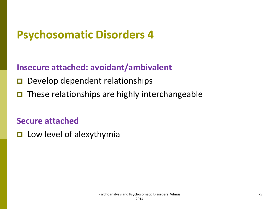### **Insecure attached: avoidant/ambivalent**

- Develop dependent relationships
- $\Box$  These relationships are highly interchangeable

#### **Secure attached**

 $\Box$  Low level of alexythymia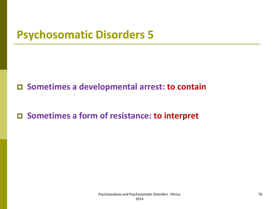**Sometimes a developmental arrest: to contain**

**Sometimes a form of resistance: to interpret**